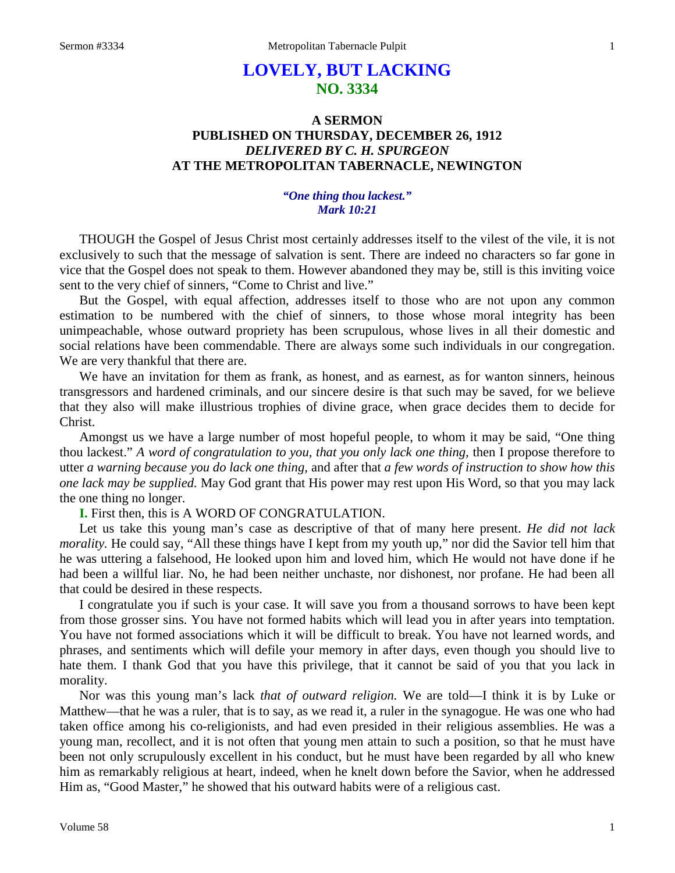## **LOVELY, BUT LACKING NO. 3334**

### **A SERMON PUBLISHED ON THURSDAY, DECEMBER 26, 1912** *DELIVERED BY C. H. SPURGEON* **AT THE METROPOLITAN TABERNACLE, NEWINGTON**

#### *"One thing thou lackest." Mark 10:21*

THOUGH the Gospel of Jesus Christ most certainly addresses itself to the vilest of the vile, it is not exclusively to such that the message of salvation is sent. There are indeed no characters so far gone in vice that the Gospel does not speak to them. However abandoned they may be, still is this inviting voice sent to the very chief of sinners, "Come to Christ and live."

But the Gospel, with equal affection, addresses itself to those who are not upon any common estimation to be numbered with the chief of sinners, to those whose moral integrity has been unimpeachable, whose outward propriety has been scrupulous, whose lives in all their domestic and social relations have been commendable. There are always some such individuals in our congregation. We are very thankful that there are.

We have an invitation for them as frank, as honest, and as earnest, as for wanton sinners, heinous transgressors and hardened criminals, and our sincere desire is that such may be saved, for we believe that they also will make illustrious trophies of divine grace, when grace decides them to decide for Christ.

Amongst us we have a large number of most hopeful people, to whom it may be said, "One thing thou lackest." *A word of congratulation to you, that you only lack one thing,* then I propose therefore to utter *a warning because you do lack one thing,* and after that *a few words of instruction to show how this one lack may be supplied.* May God grant that His power may rest upon His Word, so that you may lack the one thing no longer.

**I.** First then, this is A WORD OF CONGRATULATION.

Let us take this young man's case as descriptive of that of many here present. *He did not lack morality*. He could say, "All these things have I kept from my youth up," nor did the Savior tell him that he was uttering a falsehood, He looked upon him and loved him, which He would not have done if he had been a willful liar. No, he had been neither unchaste, nor dishonest, nor profane. He had been all that could be desired in these respects.

I congratulate you if such is your case. It will save you from a thousand sorrows to have been kept from those grosser sins. You have not formed habits which will lead you in after years into temptation. You have not formed associations which it will be difficult to break. You have not learned words, and phrases, and sentiments which will defile your memory in after days, even though you should live to hate them. I thank God that you have this privilege, that it cannot be said of you that you lack in morality.

Nor was this young man's lack *that of outward religion.* We are told—I think it is by Luke or Matthew—that he was a ruler, that is to say, as we read it, a ruler in the synagogue. He was one who had taken office among his co-religionists, and had even presided in their religious assemblies. He was a young man, recollect, and it is not often that young men attain to such a position, so that he must have been not only scrupulously excellent in his conduct, but he must have been regarded by all who knew him as remarkably religious at heart, indeed, when he knelt down before the Savior, when he addressed Him as, "Good Master," he showed that his outward habits were of a religious cast.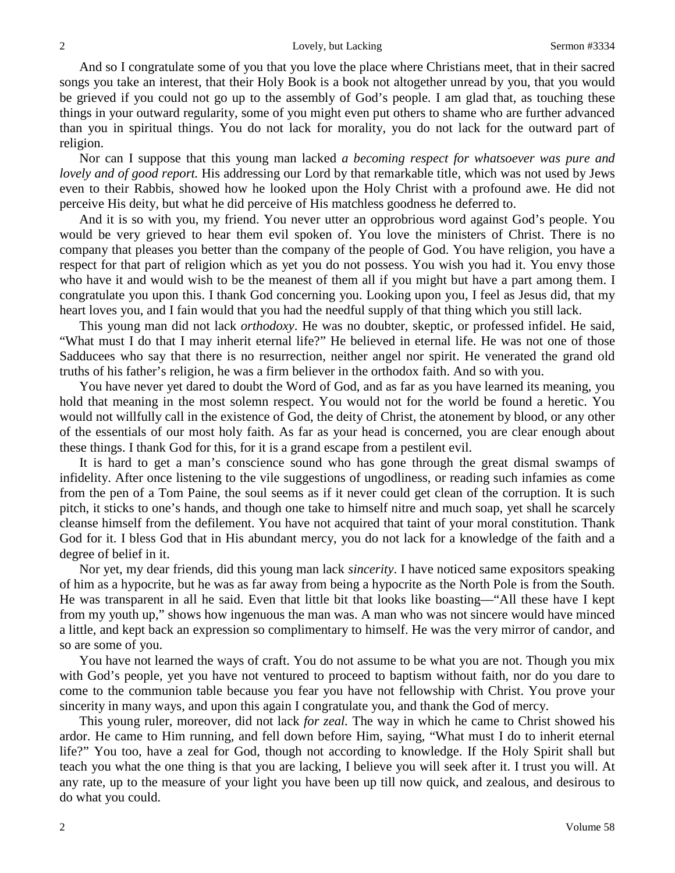And so I congratulate some of you that you love the place where Christians meet, that in their sacred songs you take an interest, that their Holy Book is a book not altogether unread by you, that you would be grieved if you could not go up to the assembly of God's people. I am glad that, as touching these things in your outward regularity, some of you might even put others to shame who are further advanced than you in spiritual things. You do not lack for morality, you do not lack for the outward part of religion.

Nor can I suppose that this young man lacked *a becoming respect for whatsoever was pure and lovely and of good report.* His addressing our Lord by that remarkable title, which was not used by Jews even to their Rabbis, showed how he looked upon the Holy Christ with a profound awe. He did not perceive His deity, but what he did perceive of His matchless goodness he deferred to.

And it is so with you, my friend. You never utter an opprobrious word against God's people. You would be very grieved to hear them evil spoken of. You love the ministers of Christ. There is no company that pleases you better than the company of the people of God. You have religion, you have a respect for that part of religion which as yet you do not possess. You wish you had it. You envy those who have it and would wish to be the meanest of them all if you might but have a part among them. I congratulate you upon this. I thank God concerning you. Looking upon you, I feel as Jesus did, that my heart loves you, and I fain would that you had the needful supply of that thing which you still lack.

This young man did not lack *orthodoxy*. He was no doubter, skeptic, or professed infidel. He said, "What must I do that I may inherit eternal life?" He believed in eternal life. He was not one of those Sadducees who say that there is no resurrection, neither angel nor spirit. He venerated the grand old truths of his father's religion, he was a firm believer in the orthodox faith. And so with you.

You have never yet dared to doubt the Word of God, and as far as you have learned its meaning, you hold that meaning in the most solemn respect. You would not for the world be found a heretic. You would not willfully call in the existence of God, the deity of Christ, the atonement by blood, or any other of the essentials of our most holy faith. As far as your head is concerned, you are clear enough about these things. I thank God for this, for it is a grand escape from a pestilent evil.

It is hard to get a man's conscience sound who has gone through the great dismal swamps of infidelity. After once listening to the vile suggestions of ungodliness, or reading such infamies as come from the pen of a Tom Paine, the soul seems as if it never could get clean of the corruption. It is such pitch, it sticks to one's hands, and though one take to himself nitre and much soap, yet shall he scarcely cleanse himself from the defilement. You have not acquired that taint of your moral constitution. Thank God for it. I bless God that in His abundant mercy, you do not lack for a knowledge of the faith and a degree of belief in it.

Nor yet, my dear friends, did this young man lack *sincerity*. I have noticed same expositors speaking of him as a hypocrite, but he was as far away from being a hypocrite as the North Pole is from the South. He was transparent in all he said. Even that little bit that looks like boasting—"All these have I kept from my youth up," shows how ingenuous the man was. A man who was not sincere would have minced a little, and kept back an expression so complimentary to himself. He was the very mirror of candor, and so are some of you.

You have not learned the ways of craft. You do not assume to be what you are not. Though you mix with God's people, yet you have not ventured to proceed to baptism without faith, nor do you dare to come to the communion table because you fear you have not fellowship with Christ. You prove your sincerity in many ways, and upon this again I congratulate you, and thank the God of mercy.

This young ruler, moreover, did not lack *for zeal.* The way in which he came to Christ showed his ardor. He came to Him running, and fell down before Him, saying, "What must I do to inherit eternal life?" You too, have a zeal for God, though not according to knowledge. If the Holy Spirit shall but teach you what the one thing is that you are lacking, I believe you will seek after it. I trust you will. At any rate, up to the measure of your light you have been up till now quick, and zealous, and desirous to do what you could.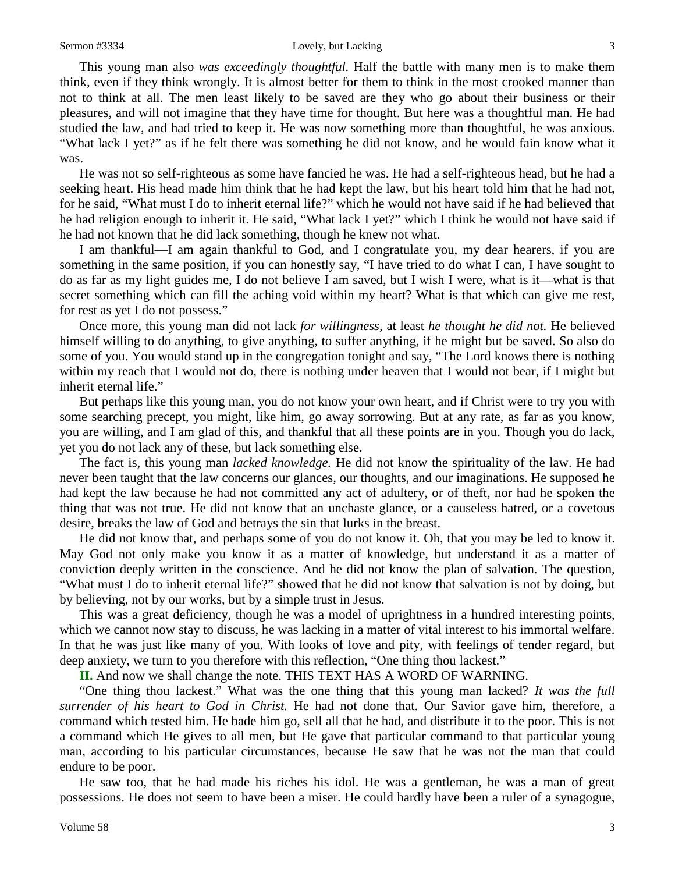This young man also *was exceedingly thoughtful.* Half the battle with many men is to make them think, even if they think wrongly. It is almost better for them to think in the most crooked manner than not to think at all. The men least likely to be saved are they who go about their business or their pleasures, and will not imagine that they have time for thought. But here was a thoughtful man. He had studied the law, and had tried to keep it. He was now something more than thoughtful, he was anxious. "What lack I yet?" as if he felt there was something he did not know, and he would fain know what it was.

He was not so self-righteous as some have fancied he was. He had a self-righteous head, but he had a seeking heart. His head made him think that he had kept the law, but his heart told him that he had not, for he said, "What must I do to inherit eternal life?" which he would not have said if he had believed that he had religion enough to inherit it. He said, "What lack I yet?" which I think he would not have said if he had not known that he did lack something, though he knew not what.

I am thankful—I am again thankful to God, and I congratulate you, my dear hearers, if you are something in the same position, if you can honestly say, "I have tried to do what I can, I have sought to do as far as my light guides me, I do not believe I am saved, but I wish I were, what is it—what is that secret something which can fill the aching void within my heart? What is that which can give me rest, for rest as yet I do not possess."

Once more, this young man did not lack *for willingness,* at least *he thought he did not.* He believed himself willing to do anything, to give anything, to suffer anything, if he might but be saved. So also do some of you. You would stand up in the congregation tonight and say, "The Lord knows there is nothing within my reach that I would not do, there is nothing under heaven that I would not bear, if I might but inherit eternal life."

But perhaps like this young man, you do not know your own heart, and if Christ were to try you with some searching precept, you might, like him, go away sorrowing. But at any rate, as far as you know, you are willing, and I am glad of this, and thankful that all these points are in you. Though you do lack, yet you do not lack any of these, but lack something else.

The fact is, this young man *lacked knowledge.* He did not know the spirituality of the law. He had never been taught that the law concerns our glances, our thoughts, and our imaginations. He supposed he had kept the law because he had not committed any act of adultery, or of theft, nor had he spoken the thing that was not true. He did not know that an unchaste glance, or a causeless hatred, or a covetous desire, breaks the law of God and betrays the sin that lurks in the breast.

He did not know that, and perhaps some of you do not know it. Oh, that you may be led to know it. May God not only make you know it as a matter of knowledge, but understand it as a matter of conviction deeply written in the conscience. And he did not know the plan of salvation. The question, "What must I do to inherit eternal life?" showed that he did not know that salvation is not by doing, but by believing, not by our works, but by a simple trust in Jesus.

This was a great deficiency, though he was a model of uprightness in a hundred interesting points, which we cannot now stay to discuss, he was lacking in a matter of vital interest to his immortal welfare. In that he was just like many of you. With looks of love and pity, with feelings of tender regard, but deep anxiety, we turn to you therefore with this reflection, "One thing thou lackest."

**II.** And now we shall change the note. THIS TEXT HAS A WORD OF WARNING.

"One thing thou lackest." What was the one thing that this young man lacked? *It was the full surrender of his heart to God in Christ.* He had not done that. Our Savior gave him, therefore, a command which tested him. He bade him go, sell all that he had, and distribute it to the poor. This is not a command which He gives to all men, but He gave that particular command to that particular young man, according to his particular circumstances, because He saw that he was not the man that could endure to be poor.

He saw too, that he had made his riches his idol. He was a gentleman, he was a man of great possessions. He does not seem to have been a miser. He could hardly have been a ruler of a synagogue,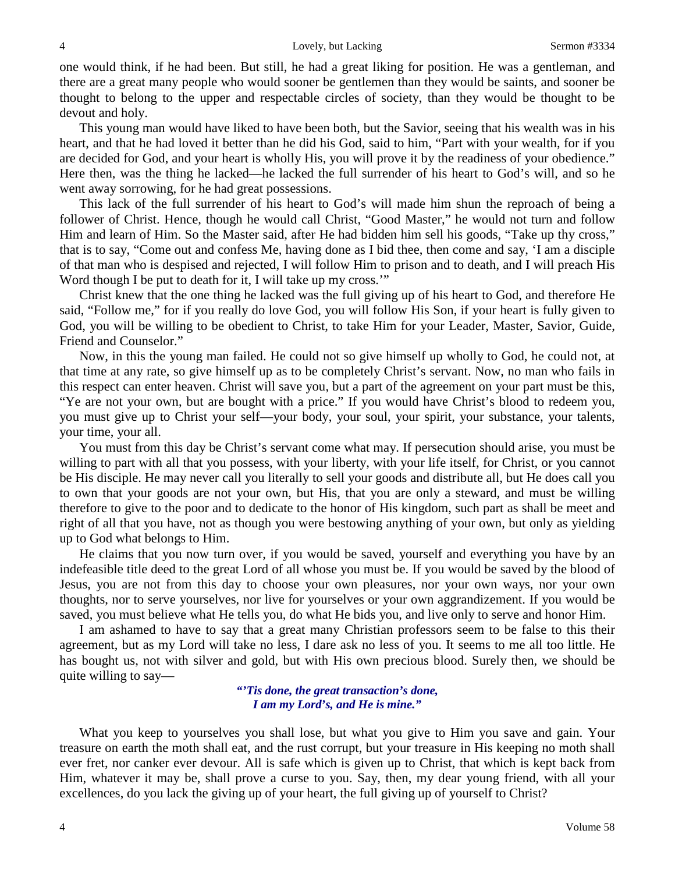one would think, if he had been. But still, he had a great liking for position. He was a gentleman, and there are a great many people who would sooner be gentlemen than they would be saints, and sooner be thought to belong to the upper and respectable circles of society, than they would be thought to be devout and holy.

This young man would have liked to have been both, but the Savior, seeing that his wealth was in his heart, and that he had loved it better than he did his God, said to him, "Part with your wealth, for if you are decided for God, and your heart is wholly His, you will prove it by the readiness of your obedience." Here then, was the thing he lacked—he lacked the full surrender of his heart to God's will, and so he went away sorrowing, for he had great possessions.

This lack of the full surrender of his heart to God's will made him shun the reproach of being a follower of Christ. Hence, though he would call Christ, "Good Master," he would not turn and follow Him and learn of Him. So the Master said, after He had bidden him sell his goods, "Take up thy cross," that is to say, "Come out and confess Me, having done as I bid thee, then come and say, 'I am a disciple of that man who is despised and rejected, I will follow Him to prison and to death, and I will preach His Word though I be put to death for it, I will take up my cross."

Christ knew that the one thing he lacked was the full giving up of his heart to God, and therefore He said, "Follow me," for if you really do love God, you will follow His Son, if your heart is fully given to God, you will be willing to be obedient to Christ, to take Him for your Leader, Master, Savior, Guide, Friend and Counselor."

Now, in this the young man failed. He could not so give himself up wholly to God, he could not, at that time at any rate, so give himself up as to be completely Christ's servant. Now, no man who fails in this respect can enter heaven. Christ will save you, but a part of the agreement on your part must be this, "Ye are not your own, but are bought with a price." If you would have Christ's blood to redeem you, you must give up to Christ your self—your body, your soul, your spirit, your substance, your talents, your time, your all.

You must from this day be Christ's servant come what may. If persecution should arise, you must be willing to part with all that you possess, with your liberty, with your life itself, for Christ, or you cannot be His disciple. He may never call you literally to sell your goods and distribute all, but He does call you to own that your goods are not your own, but His, that you are only a steward, and must be willing therefore to give to the poor and to dedicate to the honor of His kingdom, such part as shall be meet and right of all that you have, not as though you were bestowing anything of your own, but only as yielding up to God what belongs to Him.

He claims that you now turn over, if you would be saved, yourself and everything you have by an indefeasible title deed to the great Lord of all whose you must be. If you would be saved by the blood of Jesus, you are not from this day to choose your own pleasures, nor your own ways, nor your own thoughts, nor to serve yourselves, nor live for yourselves or your own aggrandizement. If you would be saved, you must believe what He tells you, do what He bids you, and live only to serve and honor Him.

I am ashamed to have to say that a great many Christian professors seem to be false to this their agreement, but as my Lord will take no less, I dare ask no less of you. It seems to me all too little. He has bought us, not with silver and gold, but with His own precious blood. Surely then, we should be quite willing to say—

> *"'Tis done, the great transaction's done, I am my Lord's, and He is mine."*

What you keep to yourselves you shall lose, but what you give to Him you save and gain. Your treasure on earth the moth shall eat, and the rust corrupt, but your treasure in His keeping no moth shall ever fret, nor canker ever devour. All is safe which is given up to Christ, that which is kept back from Him, whatever it may be, shall prove a curse to you. Say, then, my dear young friend, with all your excellences, do you lack the giving up of your heart, the full giving up of yourself to Christ?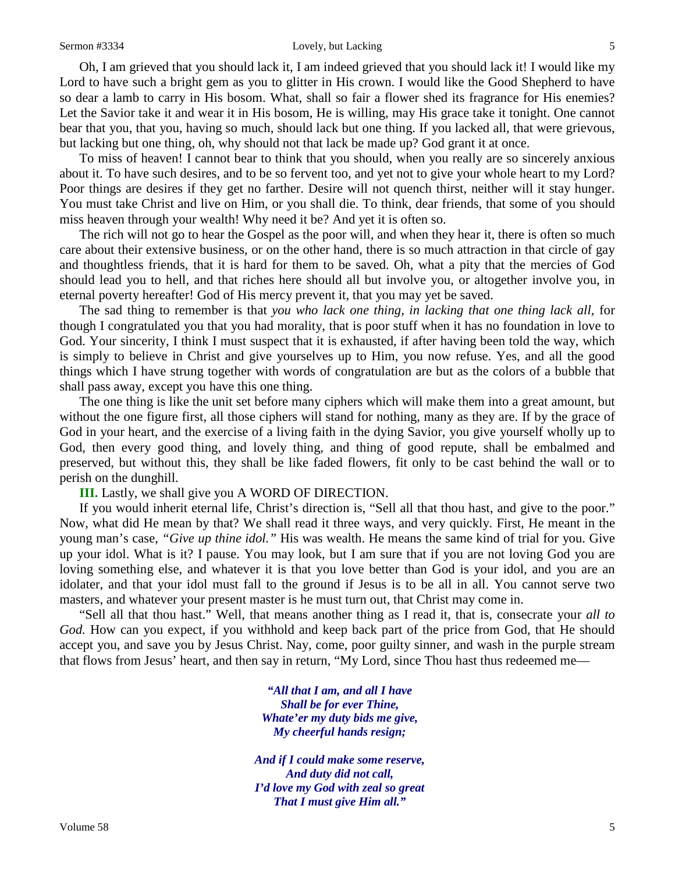#### Sermon #3334 Lovely, but Lacking 5

Oh, I am grieved that you should lack it, I am indeed grieved that you should lack it! I would like my Lord to have such a bright gem as you to glitter in His crown. I would like the Good Shepherd to have so dear a lamb to carry in His bosom. What, shall so fair a flower shed its fragrance for His enemies? Let the Savior take it and wear it in His bosom, He is willing, may His grace take it tonight. One cannot bear that you, that you, having so much, should lack but one thing. If you lacked all, that were grievous, but lacking but one thing, oh, why should not that lack be made up? God grant it at once.

To miss of heaven! I cannot bear to think that you should, when you really are so sincerely anxious about it. To have such desires, and to be so fervent too, and yet not to give your whole heart to my Lord? Poor things are desires if they get no farther. Desire will not quench thirst, neither will it stay hunger. You must take Christ and live on Him, or you shall die. To think, dear friends, that some of you should miss heaven through your wealth! Why need it be? And yet it is often so.

The rich will not go to hear the Gospel as the poor will, and when they hear it, there is often so much care about their extensive business, or on the other hand, there is so much attraction in that circle of gay and thoughtless friends, that it is hard for them to be saved. Oh, what a pity that the mercies of God should lead you to hell, and that riches here should all but involve you, or altogether involve you, in eternal poverty hereafter! God of His mercy prevent it, that you may yet be saved.

The sad thing to remember is that *you who lack one thing, in lacking that one thing lack all,* for though I congratulated you that you had morality, that is poor stuff when it has no foundation in love to God. Your sincerity, I think I must suspect that it is exhausted, if after having been told the way, which is simply to believe in Christ and give yourselves up to Him, you now refuse. Yes, and all the good things which I have strung together with words of congratulation are but as the colors of a bubble that shall pass away, except you have this one thing.

The one thing is like the unit set before many ciphers which will make them into a great amount, but without the one figure first, all those ciphers will stand for nothing, many as they are. If by the grace of God in your heart, and the exercise of a living faith in the dying Savior, you give yourself wholly up to God, then every good thing, and lovely thing, and thing of good repute, shall be embalmed and preserved, but without this, they shall be like faded flowers, fit only to be cast behind the wall or to perish on the dunghill.

**III.** Lastly, we shall give you A WORD OF DIRECTION.

If you would inherit eternal life, Christ's direction is, "Sell all that thou hast, and give to the poor." Now, what did He mean by that? We shall read it three ways, and very quickly. First, He meant in the young man's case, *"Give up thine idol."* His was wealth. He means the same kind of trial for you. Give up your idol. What is it? I pause. You may look, but I am sure that if you are not loving God you are loving something else, and whatever it is that you love better than God is your idol, and you are an idolater, and that your idol must fall to the ground if Jesus is to be all in all. You cannot serve two masters, and whatever your present master is he must turn out, that Christ may come in.

"Sell all that thou hast." Well, that means another thing as I read it, that is, consecrate your *all to*  God. How can you expect, if you withhold and keep back part of the price from God, that He should accept you, and save you by Jesus Christ. Nay, come, poor guilty sinner, and wash in the purple stream that flows from Jesus' heart, and then say in return, "My Lord, since Thou hast thus redeemed me—

> *"All that I am, and all I have Shall be for ever Thine, Whate'er my duty bids me give, My cheerful hands resign;*

*And if I could make some reserve, And duty did not call, I'd love my God with zeal so great That I must give Him all."*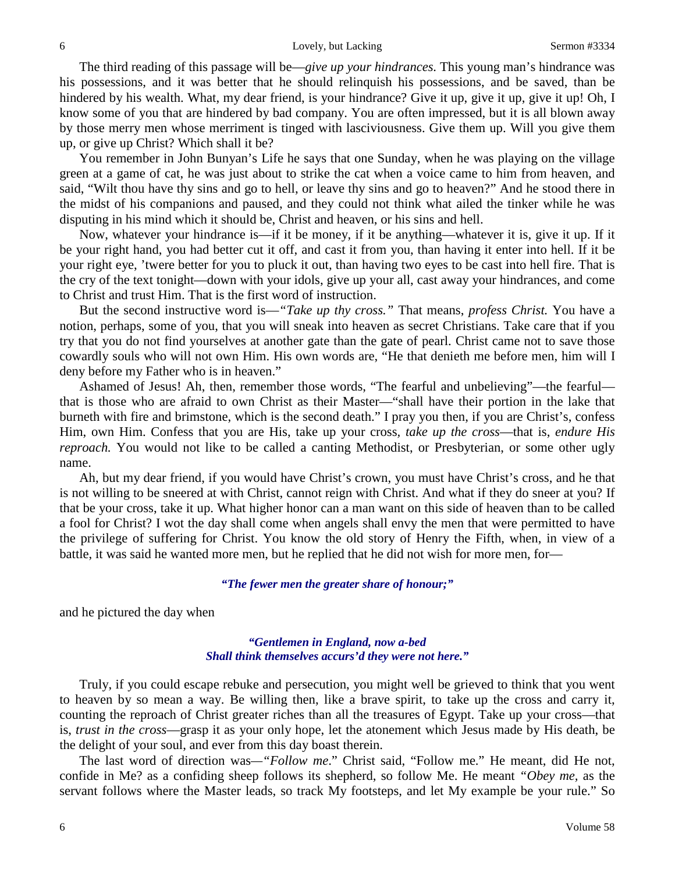The third reading of this passage will be—*give up your hindrances.* This young man's hindrance was his possessions, and it was better that he should relinquish his possessions, and be saved, than be hindered by his wealth. What, my dear friend, is your hindrance? Give it up, give it up, give it up! Oh, I know some of you that are hindered by bad company. You are often impressed, but it is all blown away by those merry men whose merriment is tinged with lasciviousness. Give them up. Will you give them up, or give up Christ? Which shall it be?

You remember in John Bunyan's Life he says that one Sunday, when he was playing on the village green at a game of cat, he was just about to strike the cat when a voice came to him from heaven, and said, "Wilt thou have thy sins and go to hell, or leave thy sins and go to heaven?" And he stood there in the midst of his companions and paused, and they could not think what ailed the tinker while he was disputing in his mind which it should be, Christ and heaven, or his sins and hell.

Now, whatever your hindrance is—if it be money, if it be anything—whatever it is, give it up. If it be your right hand, you had better cut it off, and cast it from you, than having it enter into hell. If it be your right eye, 'twere better for you to pluck it out, than having two eyes to be cast into hell fire. That is the cry of the text tonight—down with your idols, give up your all, cast away your hindrances, and come to Christ and trust Him. That is the first word of instruction.

But the second instructive word is—*"Take up thy cross."* That means, *profess Christ.* You have a notion, perhaps, some of you, that you will sneak into heaven as secret Christians. Take care that if you try that you do not find yourselves at another gate than the gate of pearl. Christ came not to save those cowardly souls who will not own Him. His own words are, "He that denieth me before men, him will I deny before my Father who is in heaven."

Ashamed of Jesus! Ah, then, remember those words, "The fearful and unbelieving"—the fearful that is those who are afraid to own Christ as their Master—"shall have their portion in the lake that burneth with fire and brimstone, which is the second death." I pray you then, if you are Christ's, confess Him, own Him. Confess that you are His, take up your cross*, take up the cross*—that is, *endure His reproach.* You would not like to be called a canting Methodist, or Presbyterian, or some other ugly name.

Ah, but my dear friend, if you would have Christ's crown, you must have Christ's cross, and he that is not willing to be sneered at with Christ, cannot reign with Christ. And what if they do sneer at you? If that be your cross, take it up. What higher honor can a man want on this side of heaven than to be called a fool for Christ? I wot the day shall come when angels shall envy the men that were permitted to have the privilege of suffering for Christ. You know the old story of Henry the Fifth, when, in view of a battle, it was said he wanted more men, but he replied that he did not wish for more men, for—

#### *"The fewer men the greater share of honour;"*

and he pictured the day when

*"Gentlemen in England, now a-bed Shall think themselves accurs'd they were not here."*

Truly, if you could escape rebuke and persecution, you might well be grieved to think that you went to heaven by so mean a way. Be willing then, like a brave spirit, to take up the cross and carry it, counting the reproach of Christ greater riches than all the treasures of Egypt. Take up your cross—that is, *trust in the cross*—grasp it as your only hope, let the atonement which Jesus made by His death, be the delight of your soul, and ever from this day boast therein.

The last word of direction was*—"Follow me*." Christ said, "Follow me." He meant, did He not, confide in Me? as a confiding sheep follows its shepherd, so follow Me. He meant *"Obey me,* as the servant follows where the Master leads, so track My footsteps, and let My example be your rule." So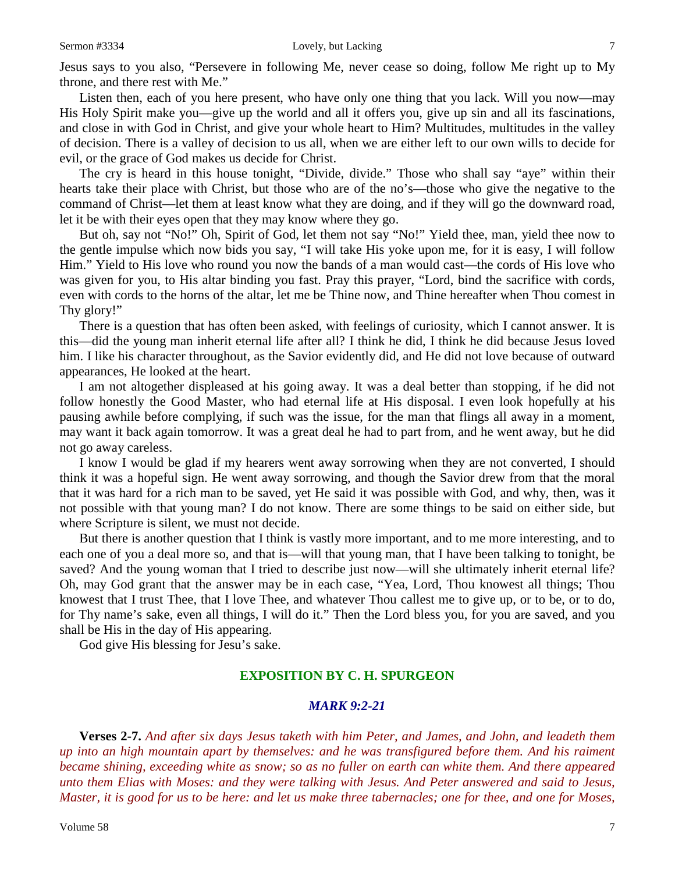Jesus says to you also, "Persevere in following Me, never cease so doing, follow Me right up to My throne, and there rest with Me."

Listen then, each of you here present, who have only one thing that you lack. Will you now—may His Holy Spirit make you—give up the world and all it offers you, give up sin and all its fascinations, and close in with God in Christ, and give your whole heart to Him? Multitudes, multitudes in the valley of decision. There is a valley of decision to us all, when we are either left to our own wills to decide for evil, or the grace of God makes us decide for Christ.

The cry is heard in this house tonight, "Divide, divide." Those who shall say "aye" within their hearts take their place with Christ, but those who are of the no's—those who give the negative to the command of Christ—let them at least know what they are doing, and if they will go the downward road, let it be with their eyes open that they may know where they go.

But oh, say not "No!" Oh, Spirit of God, let them not say "No!" Yield thee, man, yield thee now to the gentle impulse which now bids you say, "I will take His yoke upon me, for it is easy, I will follow Him." Yield to His love who round you now the bands of a man would cast—the cords of His love who was given for you, to His altar binding you fast. Pray this prayer, "Lord, bind the sacrifice with cords, even with cords to the horns of the altar, let me be Thine now, and Thine hereafter when Thou comest in Thy glory!"

There is a question that has often been asked, with feelings of curiosity, which I cannot answer. It is this—did the young man inherit eternal life after all? I think he did, I think he did because Jesus loved him. I like his character throughout, as the Savior evidently did, and He did not love because of outward appearances, He looked at the heart.

I am not altogether displeased at his going away. It was a deal better than stopping, if he did not follow honestly the Good Master, who had eternal life at His disposal. I even look hopefully at his pausing awhile before complying, if such was the issue, for the man that flings all away in a moment, may want it back again tomorrow. It was a great deal he had to part from, and he went away, but he did not go away careless.

I know I would be glad if my hearers went away sorrowing when they are not converted, I should think it was a hopeful sign. He went away sorrowing, and though the Savior drew from that the moral that it was hard for a rich man to be saved, yet He said it was possible with God, and why, then, was it not possible with that young man? I do not know. There are some things to be said on either side, but where Scripture is silent, we must not decide.

But there is another question that I think is vastly more important, and to me more interesting, and to each one of you a deal more so, and that is—will that young man, that I have been talking to tonight, be saved? And the young woman that I tried to describe just now—will she ultimately inherit eternal life? Oh, may God grant that the answer may be in each case, "Yea, Lord, Thou knowest all things; Thou knowest that I trust Thee, that I love Thee, and whatever Thou callest me to give up, or to be, or to do, for Thy name's sake, even all things, I will do it." Then the Lord bless you, for you are saved, and you shall be His in the day of His appearing.

God give His blessing for Jesu's sake.

#### **EXPOSITION BY C. H. SPURGEON**

#### *MARK 9:2-21*

**Verses 2-7.** *And after six days Jesus taketh with him Peter, and James, and John, and leadeth them up into an high mountain apart by themselves: and he was transfigured before them. And his raiment became shining, exceeding white as snow; so as no fuller on earth can white them. And there appeared unto them Elias with Moses: and they were talking with Jesus. And Peter answered and said to Jesus, Master, it is good for us to be here: and let us make three tabernacles; one for thee, and one for Moses,*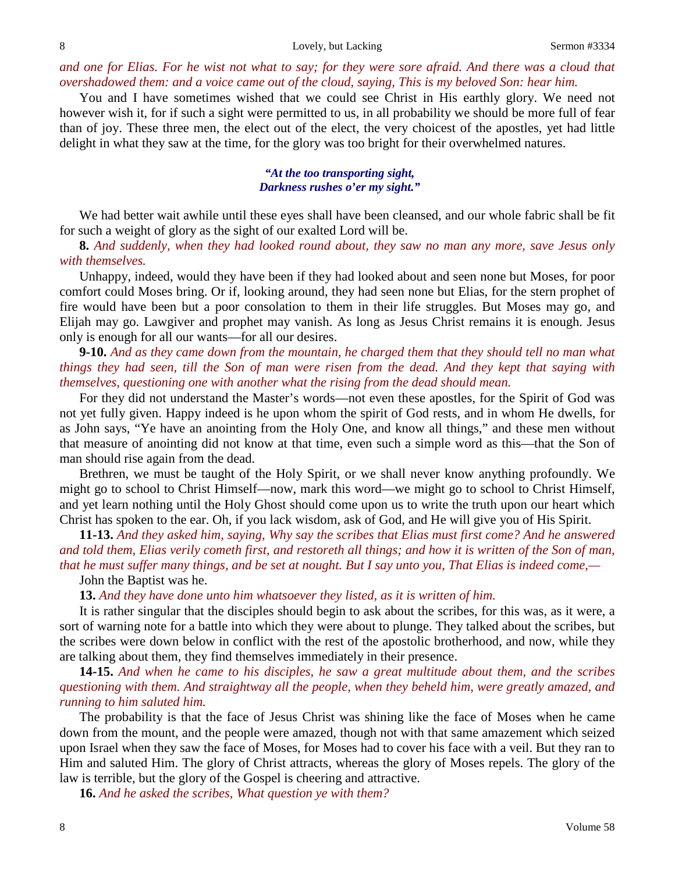*and one for Elias. For he wist not what to say; for they were sore afraid. And there was a cloud that overshadowed them: and a voice came out of the cloud, saying, This is my beloved Son: hear him.* 

You and I have sometimes wished that we could see Christ in His earthly glory. We need not however wish it, for if such a sight were permitted to us, in all probability we should be more full of fear than of joy. These three men, the elect out of the elect, the very choicest of the apostles, yet had little delight in what they saw at the time, for the glory was too bright for their overwhelmed natures.

#### *"At the too transporting sight, Darkness rushes o'er my sight."*

We had better wait awhile until these eyes shall have been cleansed, and our whole fabric shall be fit for such a weight of glory as the sight of our exalted Lord will be.

**8.** *And suddenly, when they had looked round about, they saw no man any more, save Jesus only with themselves.*

Unhappy, indeed, would they have been if they had looked about and seen none but Moses, for poor comfort could Moses bring. Or if, looking around, they had seen none but Elias, for the stern prophet of fire would have been but a poor consolation to them in their life struggles. But Moses may go, and Elijah may go. Lawgiver and prophet may vanish. As long as Jesus Christ remains it is enough. Jesus only is enough for all our wants—for all our desires.

**9-10.** *And as they came down from the mountain, he charged them that they should tell no man what things they had seen, till the Son of man were risen from the dead. And they kept that saying with themselves, questioning one with another what the rising from the dead should mean.*

For they did not understand the Master's words—not even these apostles, for the Spirit of God was not yet fully given. Happy indeed is he upon whom the spirit of God rests, and in whom He dwells, for as John says, "Ye have an anointing from the Holy One, and know all things," and these men without that measure of anointing did not know at that time, even such a simple word as this—that the Son of man should rise again from the dead.

Brethren, we must be taught of the Holy Spirit, or we shall never know anything profoundly. We might go to school to Christ Himself—now, mark this word—we might go to school to Christ Himself, and yet learn nothing until the Holy Ghost should come upon us to write the truth upon our heart which Christ has spoken to the ear. Oh, if you lack wisdom, ask of God, and He will give you of His Spirit.

**11-13.** *And they asked him, saying, Why say the scribes that Elias must first come? And he answered and told them, Elias verily cometh first, and restoreth all things; and how it is written of the Son of man, that he must suffer many things, and be set at nought. But I say unto you, That Elias is indeed come,—*

## John the Baptist was he.

**13.** *And they have done unto him whatsoever they listed, as it is written of him.*

It is rather singular that the disciples should begin to ask about the scribes, for this was, as it were, a sort of warning note for a battle into which they were about to plunge. They talked about the scribes, but the scribes were down below in conflict with the rest of the apostolic brotherhood, and now, while they are talking about them, they find themselves immediately in their presence.

**14-15.** *And when he came to his disciples, he saw a great multitude about them, and the scribes questioning with them. And straightway all the people, when they beheld him, were greatly amazed, and running to him saluted him.*

The probability is that the face of Jesus Christ was shining like the face of Moses when he came down from the mount, and the people were amazed, though not with that same amazement which seized upon Israel when they saw the face of Moses, for Moses had to cover his face with a veil. But they ran to Him and saluted Him. The glory of Christ attracts, whereas the glory of Moses repels. The glory of the law is terrible, but the glory of the Gospel is cheering and attractive.

**16.** *And he asked the scribes, What question ye with them?*